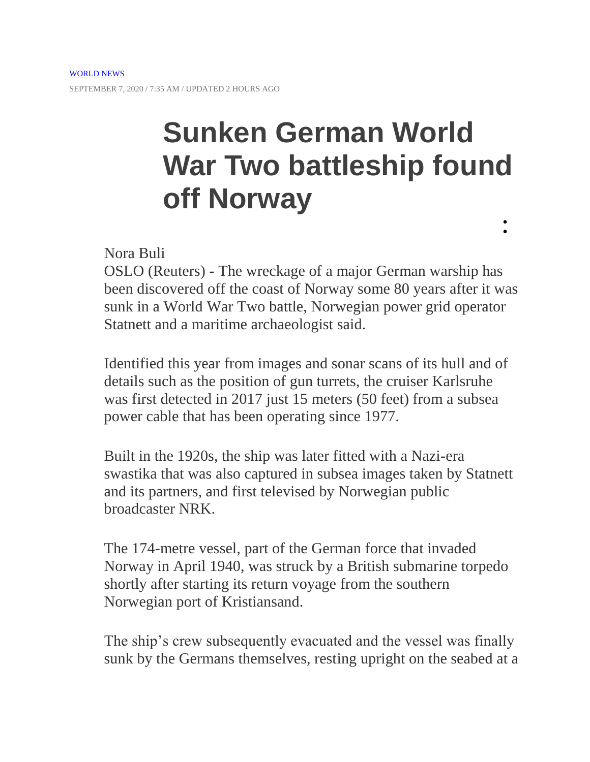## **Sunken German World War Two battleship found off Norway**  $\bullet$

 $\bullet$ 

Nora Buli

OSLO (Reuters) - The wreckage of a major German warship has been discovered off the coast of Norway some 80 years after it was sunk in a World War Two battle, Norwegian power grid operator Statnett and a maritime archaeologist said.

Identified this year from images and sonar scans of its hull and of details such as the position of gun turrets, the cruiser Karlsruhe was first detected in 2017 just 15 meters (50 feet) from a subsea power cable that has been operating since 1977.

Built in the 1920s, the ship was later fitted with a Nazi-era swastika that was also captured in subsea images taken by Statnett and its partners, and first televised by Norwegian public broadcaster NRK.

The 174-metre vessel, part of the German force that invaded Norway in April 1940, was struck by a British submarine torpedo shortly after starting its return voyage from the southern Norwegian port of Kristiansand.

The ship's crew subsequently evacuated and the vessel was finally sunk by the Germans themselves, resting upright on the seabed at a